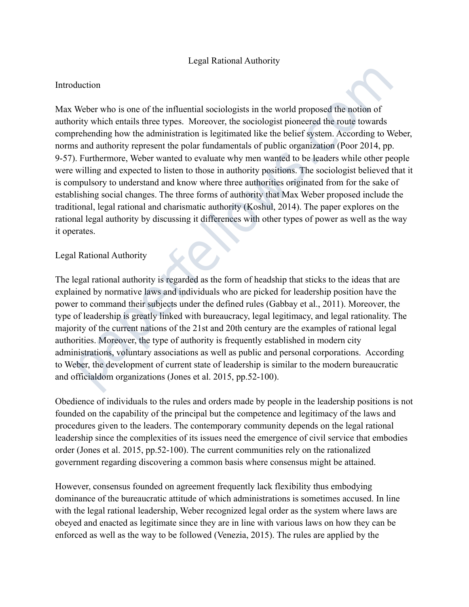### Legal Rational Authority

### Introduction

Max Weber who is one of the influential sociologists in the world proposed the notion of authority which entails three types. Moreover, the sociologist pioneered the route towards comprehending how the administration is legitimated like the belief system. According to Weber, norms and authority represent the polar fundamentals of public organization (Poor 2014, pp. 9-57). Furthermore, Weber wanted to evaluate why men wanted to be leaders while other people were willing and expected to listen to those in authority positions. The sociologist believed that it is compulsory to understand and know where three authorities originated from for the sake of establishing social changes. The three forms of authority that Max Weber proposed include the traditional, legal rational and charismatic authority (Koshul, 2014). The paper explores on the rational legal authority by discussing it differences with other types of power as well as the way it operates. duction<br>Weber who is one of the influential sociologists in the world proposed the notion of<br>wirty which entails three types. Moreover, the sociologist pioneered the route towards<br>orchending how the administration is legit

# Legal Rational Authority

The legal rational authority is regarded as the form of headship that sticks to the ideas that are explained by normative laws and individuals who are picked for leadership position have the power to command their subjects under the defined rules (Gabbay et al., 2011). Moreover, the type of leadership is greatly linked with bureaucracy, legal legitimacy, and legal rationality. The majority of the current nations of the 21st and 20th century are the examples of rational legal authorities. Moreover, the type of authority is frequently established in modern city administrations, voluntary associations as well as public and personal corporations. According to Weber, the development of current state of leadership is similar to the modern bureaucratic and officialdom organizations (Jones et al. 2015, pp.52-100).

Obedience of individuals to the rules and orders made by people in the leadership positions is not founded on the capability of the principal but the competence and legitimacy of the laws and procedures given to the leaders. The contemporary community depends on the legal rational leadership since the complexities of its issues need the emergence of civil service that embodies order (Jones et al. 2015, pp.52-100). The current communities rely on the rationalized government regarding discovering a common basis where consensus might be attained.

However, consensus founded on agreement frequently lack flexibility thus embodying dominance of the bureaucratic attitude of which administrations is sometimes accused. In line with the legal rational leadership, Weber recognized legal order as the system where laws are obeyed and enacted as legitimate since they are in line with various laws on how they can be enforced as well as the way to be followed (Venezia, 2015). The rules are applied by the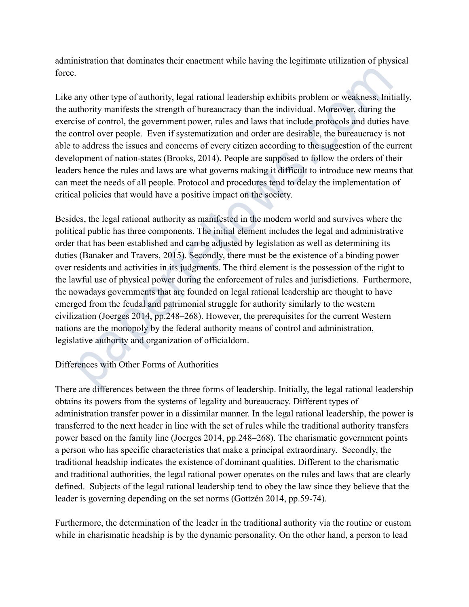administration that dominates their enactment while having the legitimate utilization of physical force.

Like any other type of authority, legal rational leadership exhibits problem or weakness. Initially, the authority manifests the strength of bureaucracy than the individual. Moreover, during the exercise of control, the government power, rules and laws that include protocols and duties have the control over people. Even if systematization and order are desirable, the bureaucracy is not able to address the issues and concerns of every citizen according to the suggestion of the current development of nation-states (Brooks, 2014). People are supposed to follow the orders of their leaders hence the rules and laws are what governs making it difficult to introduce new means that can meet the needs of all people. Protocol and procedures tend to delay the implementation of critical policies that would have a positive impact on the society.

Besides, the legal rational authority as manifested in the modern world and survives where the political public has three components. The initial element includes the legal and administrative order that has been established and can be adjusted by legislation as well as determining its duties (Banaker and Travers, 2015). Secondly, there must be the existence of a binding power over residents and activities in its judgments. The third element is the possession of the right to the lawful use of physical power during the enforcement of rules and jurisdictions. Furthermore, the nowadays governments that are founded on legal rational leadership are thought to have emerged from the feudal and patrimonial struggle for authority similarly to the western civilization (Joerges 2014, pp.248–268). However, the prerequisites for the current Western nations are the monopoly by the federal authority means of control and administration, legislative authority and organization of officialdom. The state of a authority, legal rational leadership exhibits problem or weakness. In<br>thostivity manifests the strength of bureaucracy than the individual. Moreover, during the<br>sise of control, the government power, rules a

# Differences with Other Forms of Authorities

There are differences between the three forms of leadership. Initially, the legal rational leadership obtains its powers from the systems of legality and bureaucracy. Different types of administration transfer power in a dissimilar manner. In the legal rational leadership, the power is transferred to the next header in line with the set of rules while the traditional authority transfers power based on the family line (Joerges 2014, pp.248–268). The charismatic government points a person who has specific characteristics that make a principal extraordinary. Secondly, the traditional headship indicates the existence of dominant qualities. Different to the charismatic and traditional authorities, the legal rational power operates on the rules and laws that are clearly defined. Subjects of the legal rational leadership tend to obey the law since they believe that the leader is governing depending on the set norms (Gottzén 2014, pp.59-74).

Furthermore, the determination of the leader in the traditional authority via the routine or custom while in charismatic headship is by the dynamic personality. On the other hand, a person to lead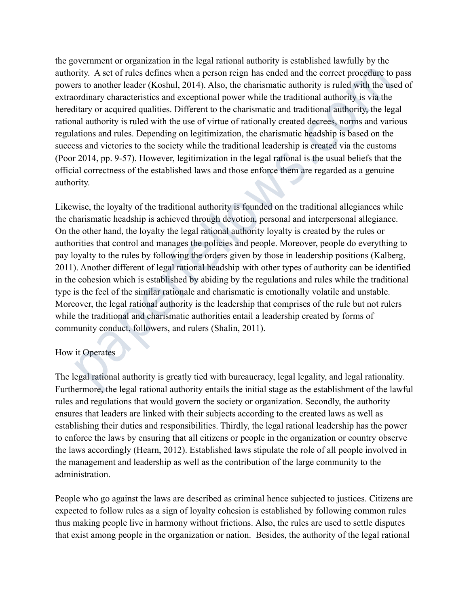the government or organization in the legal rational authority is established lawfully by the authority. A set of rules defines when a person reign has ended and the correct procedure to pass powers to another leader (Koshul, 2014). Also, the charismatic authority is ruled with the used of extraordinary characteristics and exceptional power while the traditional authority is via the hereditary or acquired qualities. Different to the charismatic and traditional authority, the legal rational authority is ruled with the use of virtue of rationally created decrees, norms and various regulations and rules. Depending on legitimization, the charismatic headship is based on the success and victories to the society while the traditional leadership is created via the customs (Poor 2014, pp. 9-57). However, legitimization in the legal rational is the usual beliefs that the official correctness of the established laws and those enforce them are regarded as a genuine authority.

Likewise, the loyalty of the traditional authority is founded on the traditional allegiances while the charismatic headship is achieved through devotion, personal and interpersonal allegiance. On the other hand, the loyalty the legal rational authority loyalty is created by the rules or authorities that control and manages the policies and people. Moreover, people do everything to pay loyalty to the rules by following the orders given by those in leadership positions (Kalberg, 2011). Another different of legal rational headship with other types of authority can be identified in the cohesion which is established by abiding by the regulations and rules while the traditional type is the feel of the similar rationale and charismatic is emotionally volatile and unstable. Moreover, the legal rational authority is the leadership that comprises of the rule but not rulers while the traditional and charismatic authorities entail a leadership created by forms of community conduct, followers, and rulers (Shalin, 2011). my. A set of rules dentines when a person reign nas ended and the correct procedure that<br>inty. As to another leader (Koshul, 2014). Also, the charismatic authority is ruled with the tordinary characteristics and exceptiona

# How it Operates

The legal rational authority is greatly tied with bureaucracy, legal legality, and legal rationality. Furthermore, the legal rational authority entails the initial stage as the establishment of the lawful rules and regulations that would govern the society or organization. Secondly, the authority ensures that leaders are linked with their subjects according to the created laws as well as establishing their duties and responsibilities. Thirdly, the legal rational leadership has the power to enforce the laws by ensuring that all citizens or people in the organization or country observe the laws accordingly (Hearn, 2012). Established laws stipulate the role of all people involved in the management and leadership as well as the contribution of the large community to the administration.

People who go against the laws are described as criminal hence subjected to justices. Citizens are expected to follow rules as a sign of loyalty cohesion is established by following common rules thus making people live in harmony without frictions. Also, the rules are used to settle disputes that exist among people in the organization or nation. Besides, the authority of the legal rational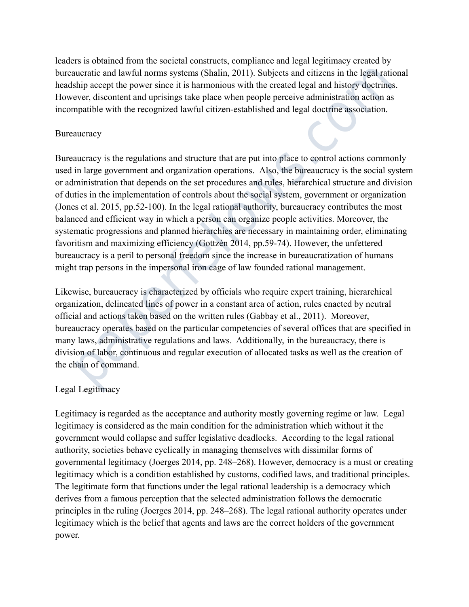leaders is obtained from the societal constructs, compliance and legal legitimacy created by bureaucratic and lawful norms systems (Shalin, 2011). Subjects and citizens in the legal rational headship accept the power since it is harmonious with the created legal and history doctrines. However, discontent and uprisings take place when people perceive administration action as incompatible with the recognized lawful citizen-established and legal doctrine association.

# **Bureaucracy**

Bureaucracy is the regulations and structure that are put into place to control actions commonly used in large government and organization operations. Also, the bureaucracy is the social system or administration that depends on the set procedures and rules, hierarchical structure and division of duties in the implementation of controls about the social system, government or organization (Jones et al. 2015, pp.52-100). In the legal rational authority, bureaucracy contributes the most balanced and efficient way in which a person can organize people activities. Moreover, the systematic progressions and planned hierarchies are necessary in maintaining order, eliminating favoritism and maximizing efficiency (Gottzén 2014, pp.59-74). However, the unfettered bureaucracy is a peril to personal freedom since the increase in bureaucratization of humans might trap persons in the impersonal iron cage of law founded rational management. ucrature and lawturi norms systems (Shain, 2011). Subjects and citizens in the legal ration<br>ship accept the power since it is harmonious with the created legal and history doctrin<br>ship accept the power since it is harmonio

Likewise, bureaucracy is characterized by officials who require expert training, hierarchical organization, delineated lines of power in a constant area of action, rules enacted by neutral official and actions taken based on the written rules (Gabbay et al., 2011). Moreover, bureaucracy operates based on the particular competencies of several offices that are specified in many laws, administrative regulations and laws. Additionally, in the bureaucracy, there is division of labor, continuous and regular execution of allocated tasks as well as the creation of the chain of command.

# Legal Legitimacy

Legitimacy is regarded as the acceptance and authority mostly governing regime or law. Legal legitimacy is considered as the main condition for the administration which without it the government would collapse and suffer legislative deadlocks. According to the legal rational authority, societies behave cyclically in managing themselves with dissimilar forms of governmental legitimacy (Joerges 2014, pp. 248–268). However, democracy is a must or creating legitimacy which is a condition established by customs, codified laws, and traditional principles. The legitimate form that functions under the legal rational leadership is a democracy which derives from a famous perception that the selected administration follows the democratic principles in the ruling (Joerges 2014, pp. 248–268). The legal rational authority operates under legitimacy which is the belief that agents and laws are the correct holders of the government power.